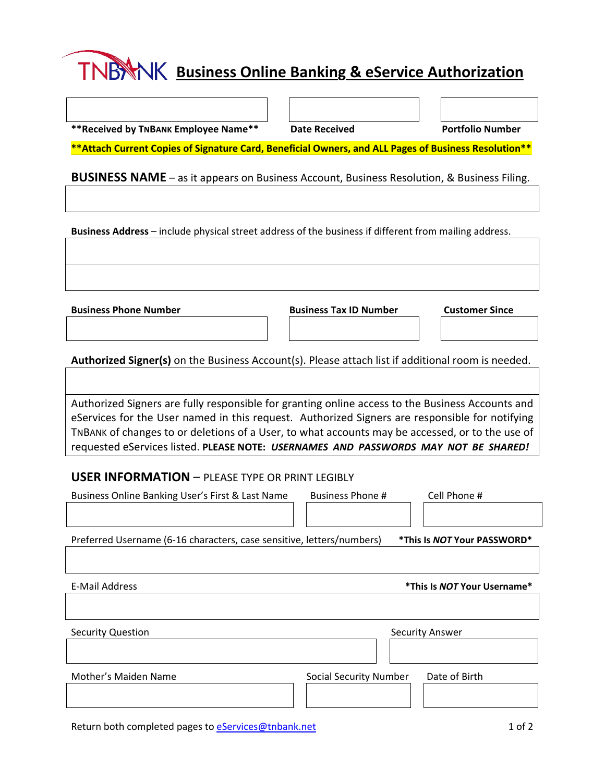## **Business Online Banking & eService Authorization**

**\*\*Received by TNBANK Employee Name\*\* Date Received Portfolio Number** 

**\*\*Attach Current Copies of Signature Card, Beneficial Owners, and ALL Pages of Business Resolution\*\*** 

**BUSINESS NAME** – as it appears on Business Account, Business Resolution, & Business Filing.

**Business Address** – include physical street address of the business if different from mailing address.

**Business Phone Number Business Tax ID Number Customer Since**

**Authorized Signer(s)** on the Business Account(s). Please attach list if additional room is needed.

Authorized Signers are fully responsible for granting online access to the Business Accounts and eServices for the User named in this request. Authorized Signers are responsible for notifying TNBANK of changes to or deletions of a User, to what accounts may be accessed, or to the use of requested eServices listed. **PLEASE NOTE:** *USERNAMES AND PASSWORDS MAY NOT BE SHARED!*

## **USER INFORMATION** – PLEASE TYPE OR PRINT LEGIBLY

| Business Online Banking User's First & Last Name                      | Cell Phone #<br><b>Business Phone #</b>        |
|-----------------------------------------------------------------------|------------------------------------------------|
|                                                                       |                                                |
| Preferred Username (6-16 characters, case sensitive, letters/numbers) | *This Is NOT Your PASSWORD*                    |
|                                                                       |                                                |
| <b>E-Mail Address</b>                                                 | *This Is NOT Your Username*                    |
|                                                                       |                                                |
| <b>Security Question</b>                                              | <b>Security Answer</b>                         |
|                                                                       |                                                |
| Mother's Maiden Name                                                  | Date of Birth<br><b>Social Security Number</b> |
|                                                                       |                                                |

Return both completed pages to eServices@tnbank.net 1 0f 2